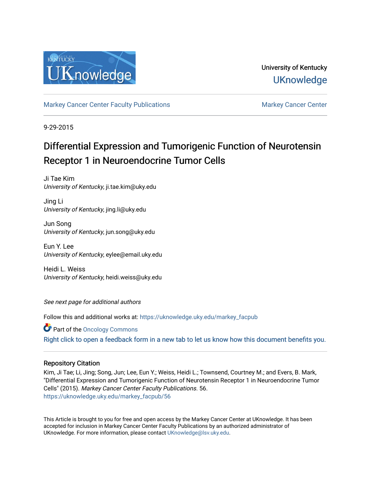

# University of Kentucky **UKnowledge**

[Markey Cancer Center Faculty Publications](https://uknowledge.uky.edu/markey_facpub) [Markey Cancer Center](https://uknowledge.uky.edu/markey) Center

9-29-2015

# Differential Expression and Tumorigenic Function of Neurotensin Receptor 1 in Neuroendocrine Tumor Cells

Ji Tae Kim University of Kentucky, ji.tae.kim@uky.edu

Jing Li University of Kentucky, jing.li@uky.edu

Jun Song University of Kentucky, jun.song@uky.edu

Eun Y. Lee University of Kentucky, eylee@email.uky.edu

Heidi L. Weiss University of Kentucky, heidi.weiss@uky.edu

See next page for additional authors

Follow this and additional works at: [https://uknowledge.uky.edu/markey\\_facpub](https://uknowledge.uky.edu/markey_facpub?utm_source=uknowledge.uky.edu%2Fmarkey_facpub%2F56&utm_medium=PDF&utm_campaign=PDFCoverPages)

Part of the [Oncology Commons](http://network.bepress.com/hgg/discipline/694?utm_source=uknowledge.uky.edu%2Fmarkey_facpub%2F56&utm_medium=PDF&utm_campaign=PDFCoverPages) 

[Right click to open a feedback form in a new tab to let us know how this document benefits you.](https://uky.az1.qualtrics.com/jfe/form/SV_9mq8fx2GnONRfz7)

# Repository Citation

Kim, Ji Tae; Li, Jing; Song, Jun; Lee, Eun Y.; Weiss, Heidi L.; Townsend, Courtney M.; and Evers, B. Mark, "Differential Expression and Tumorigenic Function of Neurotensin Receptor 1 in Neuroendocrine Tumor Cells" (2015). Markey Cancer Center Faculty Publications. 56. [https://uknowledge.uky.edu/markey\\_facpub/56](https://uknowledge.uky.edu/markey_facpub/56?utm_source=uknowledge.uky.edu%2Fmarkey_facpub%2F56&utm_medium=PDF&utm_campaign=PDFCoverPages) 

This Article is brought to you for free and open access by the Markey Cancer Center at UKnowledge. It has been accepted for inclusion in Markey Cancer Center Faculty Publications by an authorized administrator of UKnowledge. For more information, please contact [UKnowledge@lsv.uky.edu](mailto:UKnowledge@lsv.uky.edu).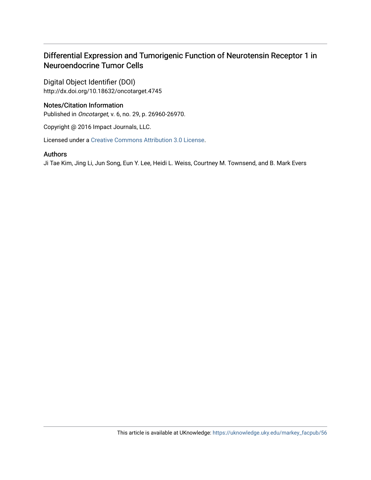# Differential Expression and Tumorigenic Function of Neurotensin Receptor 1 in Neuroendocrine Tumor Cells

Digital Object Identifier (DOI) http://dx.doi.org/10.18632/oncotarget.4745

# Notes/Citation Information

Published in Oncotarget, v. 6, no. 29, p. 26960-26970.

Copyright @ 2016 Impact Journals, LLC.

Licensed under a [Creative Commons Attribution 3.0 License](http://creativecommons.org/licenses/by/3.0/).

# Authors

Ji Tae Kim, Jing Li, Jun Song, Eun Y. Lee, Heidi L. Weiss, Courtney M. Townsend, and B. Mark Evers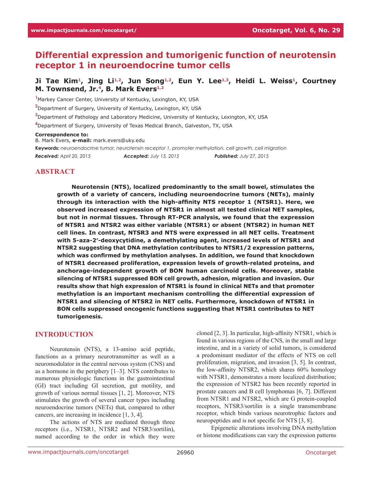# **Differential expression and tumorigenic function of neurotensin receptor 1 in neuroendocrine tumor cells**

# Ji Tae Kim<sup>1</sup>, Jing Li<sup>1,2</sup>, Jun Song<sup>1,2</sup>, Eun Y. Lee<sup>1,3</sup>, Heidi L. Weiss<sup>1</sup>, Courtney **M.** Townsend, Jr.<sup>4</sup>, B. Mark Evers<sup>1,2</sup>

**1** Markey Cancer Center, University of Kentucky, Lexington, KY, USA

**2** Department of Surgery, University of Kentucky, Lexington, KY, USA

**3** Department of Pathology and Laboratory Medicine, University of Kentucky, Lexington, KY, USA

**4** Department of Surgery, University of Texas Medical Branch, Galveston, TX, USA

#### **Correspondence to:**

B. Mark Evers, **e-mail:** mark.evers@uky.edu

**Keywords:** *neuroendocrine tumor, neurotensin receptor 1, promoter methylation, cell growth, cell migration Received: April 20, 2015 Accepted: July 15, 2015 Published: July 27, 2015*

#### **ABSTRACT**

**Neurotensin (NTS), localized predominantly to the small bowel, stimulates the growth of a variety of cancers, including neuroendocrine tumors (NETs), mainly through its interaction with the high-affinity NTS receptor 1 (NTSR1). Here, we observed increased expression of NTSR1 in almost all tested clinical NET samples, but not in normal tissues. Through RT-PCR analysis, we found that the expression of NTSR1 and NTSR2 was either variable (NTSR1) or absent (NTSR2) in human NET cell lines. In contrast, NTSR3 and NTS were expressed in all NET cells. Treatment with 5-aza-2′-deoxycytidine, a demethylating agent, increased levels of NTSR1 and NTSR2 suggesting that DNA methylation contributes to NTSR1/2 expression patterns, which was confirmed by methylation analyses. In addition, we found that knockdown of NTSR1 decreased proliferation, expression levels of growth-related proteins, and anchorage-independent growth of BON human carcinoid cells. Moreover, stable silencing of NTSR1 suppressed BON cell growth, adhesion, migration and invasion. Our results show that high expression of NTSR1 is found in clinical NETs and that promoter methylation is an important mechanism controlling the differential expression of NTSR1 and silencing of NTSR2 in NET cells. Furthermore, knockdown of NTSR1 in BON cells suppressed oncogenic functions suggesting that NTSR1 contributes to NET tumorigenesis.**

#### **INTRODUCTION**

Neurotensin (NTS), a 13-amino acid peptide, functions as a primary neurotransmitter as well as a neuromodulator in the central nervous system (CNS) and as a hormone in the periphery  $[1-3]$ . NTS contributes to numerous physiologic functions in the gastrointestinal (GI) tract including GI secretion, gut motility, and growth of various normal tissues [1, 2]. Moreover, NTS stimulates the growth of several cancer types including neuroendocrine tumors (NETs) that, compared to other cancers, are increasing in incidence [1, 3, 4].

The actions of NTS are mediated through three receptors (i.e., NTSR1, NTSR2 and NTSR3/sortilin), named according to the order in which they were cloned [2, 3]. In particular, high-affinity NTSR1, which is found in various regions of the CNS, in the small and large intestine, and in a variety of solid tumors, is considered a predominant mediator of the effects of NTS on cell proliferation, migration, and invasion [3, 5]. In contrast, the low-affinity NTSR2, which shares 60% homology with NTSR1, demonstrates a more localized distribution; the expression of NTSR2 has been recently reported in prostate cancers and B cell lymphomas [6, 7]. Different from NTSR1 and NTSR2, which are G protein-coupled receptors, NTSR3/sortilin is a single transmembrane receptor, which binds various neurotrophic factors and neuropeptides and is not specific for NTS [3, 8].

Epigenetic alterations involving DNA methylation or histone modifications can vary the expression patterns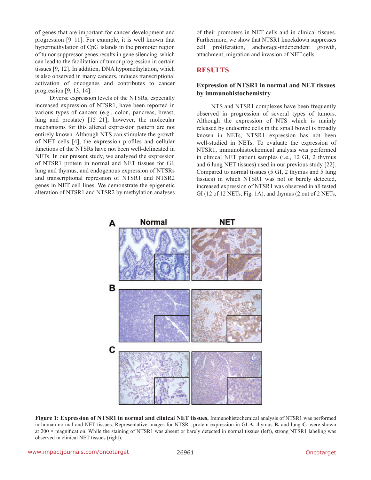of genes that are important for cancer development and progression [9–11]. For example, it is well known that hypermethylation of CpG islands in the promoter region of tumor suppressor genes results in gene silencing, which can lead to the facilitation of tumor progression in certain tissues [9, 12]. In addition, DNA hypomethylation, which is also observed in many cancers, induces transcriptional activation of oncogenes and contributes to cancer progression [9, 13, 14].

Diverse expression levels of the NTSRs, especially increased expression of NTSR1, have been reported in various types of cancers (e.g., colon, pancreas, breast, lung and prostate) [15–21]; however, the molecular mechanisms for this altered expression pattern are not entirely known. Although NTS can stimulate the growth of NET cells [4], the expression profiles and cellular functions of the NTSRs have not been well-delineated in NETs. In our present study, we analyzed the expression of NTSR1 protein in normal and NET tissues for GI, lung and thymus, and endogenous expression of NTSRs and transcriptional repression of NTSR1 and NTSR2 genes in NET cell lines. We demonstrate the epigenetic alteration of NTSR1 and NTSR2 by methylation analyses

of their promoters in NET cells and in clinical tissues. Furthermore, we show that NTSR1 knockdown suppresses cell proliferation, anchorage-independent growth, attachment, migration and invasion of NET cells.

# **RESULTS**

#### **Expression of NTSR1 in normal and NET tissues by immunohistochemistry**

NTS and NTSR1 complexes have been frequently observed in progression of several types of tumors. Although the expression of NTS which is mainly released by endocrine cells in the small bowel is broadly known in NETs, NTSR1 expression has not been well-studied in NETs. To evaluate the expression of NTSR1, immunohistochemical analysis was performed in clinical NET patient samples (i.e., 12 GI, 2 thymus and 6 lung NET tissues) used in our previous study [22]. Compared to normal tissues (5 GI, 2 thymus and 5 lung tissues) in which NTSR1 was not or barely detected, increased expression of NTSR1 was observed in all tested GI (12 of 12 NETs, Fig. 1A), and thymus (2 out of 2 NETs,



**Figure 1: Expression of NTSR1 in normal and clinical NET tissues.** Immunohistochemical analysis of NTSR1 was performed in human normal and NET tissues. Representative images for NTSR1 protein expression in GI **A.** thymus **B.** and lung **C.** were shown at 200 × magnification. While the staining of NTSR1 was absent or barely detected in normal tissues (left), strong NTSR1 labeling was observed in clinical NET tissues (right).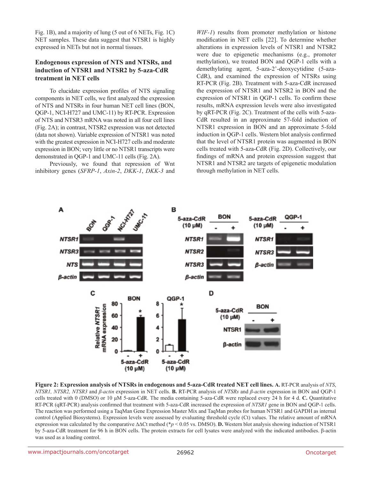Fig. 1B), and a majority of lung (5 out of 6 NETs, Fig. 1C) NET samples. These data suggest that NTSR1 is highly expressed in NETs but not in normal tissues.

#### **Endogenous expression of NTS and NTSRs, and induction of NTSR1 and NTSR2 by 5-aza-CdR treatment in NET cells**

To elucidate expression profiles of NTS signaling components in NET cells, we first analyzed the expression of NTS and NTSRs in four human NET cell lines (BON, QGP-1, NCI-H727 and UMC-11) by RT-PCR. Expression of NTS and NTSR3 mRNA was noted in all four cell lines (Fig. 2A); in contrast, NTSR2 expression was not detected (data not shown). Variable expression of NTSR1 was noted with the greatest expression in NCI-H727 cells and moderate expression in BON; very little or no NTSR1 transcripts were demonstrated in QGP-1 and UMC-11 cells (Fig. 2A).

Previously, we found that repression of Wnt inhibitory genes (*SFRP-1*, *Axin-2*, *DKK-1*, *DKK-3* and

*WIF-1*) results from promoter methylation or histone modification in NET cells [22]. To determine whether alterations in expression levels of NTSR1 and NTSR2 were due to epigenetic mechanisms (e.g., promoter methylation), we treated BON and QGP-1 cells with a demethylating agent, 5-aza-2'-deoxycytidine (5-aza-CdR), and examined the expression of NTSRs using RT-PCR (Fig. 2B). Treatment with 5-aza-CdR increased the expression of NTSR1 and NTSR2 in BON and the expression of NTSR1 in QGP-1 cells. To confirm these results, mRNA expression levels were also investigated by qRT-PCR (Fig. 2C). Treatment of the cells with 5-aza-CdR resulted in an approximate 57-fold induction of NTSR1 expression in BON and an approximate 5-fold induction in QGP-1 cells. Western blot analysis confirmed that the level of NTSR1 protein was augmented in BON cells treated with 5-aza-CdR (Fig. 2D). Collectively, our findings of mRNA and protein expression suggest that NTSR1 and NTSR2 are targets of epigenetic modulation through methylation in NET cells.



**Figure 2: Expression analysis of NTSRs in endogenous and 5-aza-CdR treated NET cell lines. A.** RT-PCR analysis of *NTS*, *NTSR1, NTSR2, NTSR3* and *β-actin* expression in NET cells. **B.** RT-PCR analysis of *NTSRs* and *β-actin* expression in BON and QGP-1 cells treated with 0 (DMSO) or 10 μM 5-aza-CdR. The media containing 5-aza-CdR were replaced every 24 h for 4 d. **C.** Quantitative RT-PCR (qRT-PCR) analysis confirmed that treatment with 5-aza-CdR increased the expression of *NTSR1* gene in BON and QGP-1 cells. The reaction was performed using a TaqMan Gene Expression Master Mix and TaqMan probes for human NTSR1 and GAPDH as internal control (Applied Biosystems). Expression levels were assessed by evaluating threshold cycle (Ct) values. The relative amount of mRNA expression was calculated by the comparative ∆∆Ct method (\**p* < 0.05 vs. DMSO). **D.** Western blot analysis showing induction of NTSR1 by 5-aza-CdR treatment for 96 h in BON cells. The protein extracts for cell lysates were analyzed with the indicated antibodies. β-actin was used as a loading control.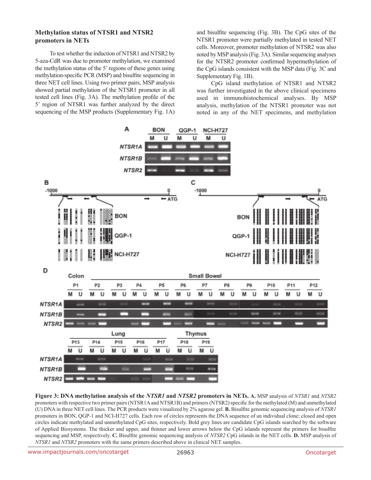#### **Methylation status of NTSR1 and NTSR2 promoters in NETs**

To test whether the induction of NTSR1 and NTSR2 by 5-aza-CdR was due to promoter methylation, we examined the methylation status of the 5' regions of these genes using methylation-specific PCR (MSP) and bisulfite sequencing in three NET cell lines. Using two primer pairs, MSP analysis showed partial methylation of the NTSR1 promoter in all tested cell lines (Fig. 3A). The methylation profile of the 5' region of NTSR1 was further analyzed by the direct sequencing of the MSP products (Supplementary Fig. 1A) and bisulfite sequencing (Fig. 3B). The CpG sites of the NTSR1 promoter were partially methylated in tested NET cells. Moreover, promoter methylation of NTSR2 was also noted by MSP analysis (Fig. 3A). Similar sequencing analyses for the NTSR2 promoter confirmed hypermethylation of the CpG islands consistent with the MSP data (Fig. 3C and Supplementary Fig. 1B).

CpG island methylation of NTSR1 and NTSR2 was further investigated in the above clinical specimens used in immunohistochemical analyses. By MSP analysis, methylation of the NTSR1 promoter was not noted in any of the NET specimens, and methylation



**Figure 3: DNA methylation analysis of the** *NTSR1* **and** *NTSR2* **promoters in NETs. A.** MSP analysis of *NTSR1* and *NTSR2* promoters with respective two primer pairs (NTSR1A and NTSR1B) and primers (NTSR2) specific for the methylated (M) and unmethylated (U) DNA in three NET cell lines. The PCR products were visualized by 2% agarose gel. **B.** Bisulfite genomic sequencing analysis of *NTSR1* promoters in BON, QGP-1 and NCI-H727 cells. Each row of circles represents the DNA sequence of an individual clone; closed and open circles indicate methylated and unmethylated CpG sites, respectively. Bold grey lines are candidate CpG islands searched by the software of Applied Biosystems. The thicker and upper, and thinner and lower arrows below the CpG islands represent the primers for bisulfite sequencing and MSP, respectively. **C.** Bisulfite genomic sequencing analysis of *NTSR2* CpG islands in the NET cells. **D.** MSP analysis of *NTSR1* and *NTSR2* promoters with the same primers described above in clinical NET samples.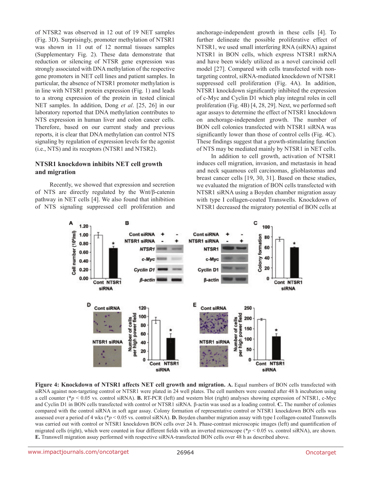of NTSR2 was observed in 12 out of 19 NET samples (Fig. 3D). Surprisingly, promoter methylation of NTSR1 was shown in 11 out of 12 normal tissues samples (Supplementary Fig. 2). These data demonstrate that reduction or silencing of NTSR gene expression was strongly associated with DNA methylation of the respective gene promoters in NET cell lines and patient samples. In particular, the absence of NTSR1 promoter methylation is in line with NTSR1 protein expression (Fig. 1) and leads to a strong expression of the protein in tested clinical NET samples. In addition, Dong *et al*. [25, 26] in our laboratory reported that DNA methylation contributes to NTS expression in human liver and colon cancer cells. Therefore, based on our current study and previous reports, it is clear that DNA methylation can control NTS signaling by regulation of expression levels for the agonist (i.e., NTS) and its receptors (NTSR1 and NTSR2).

#### **NTSR1 knockdown inhibits NET cell growth and migration**

Recently, we showed that expression and secretion of NTS are directly regulated by the Wnt/β-catenin pathway in NET cells [4]. We also found that inhibition of NTS signaling suppressed cell proliferation and anchorage-independent growth in these cells [4]. To further delineate the possible proliferative effect of NTSR1, we used small interfering RNA (siRNA) against NTSR1 in BON cells, which express NTSR1 mRNA and have been widely utilized as a novel carcinoid cell model [27]. Compared with cells transfected with nontargeting control, siRNA-mediated knockdown of NTSR1 suppressed cell proliferation (Fig. 4A). In addition, NTSR1 knockdown significantly inhibited the expression of c-Myc and Cyclin D1 which play integral roles in cell proliferation (Fig. 4B) [4, 28, 29]. Next, we performed soft agar assays to determine the effect of NTSR1 knockdown on anchorage-independent growth. The number of BON cell colonies transfected with NTSR1 siRNA was significantly lower than those of control cells (Fig. 4C). These findings suggest that a growth-stimulating function of NTS may be mediated mainly by NTSR1 in NET cells.

In addition to cell growth, activation of NTSR1 induces cell migration, invasion, and metastasis in head and neck squamous cell carcinomas, glioblastomas and breast cancer cells [19, 30, 31]. Based on these studies, we evaluated the migration of BON cells transfected with NTSR1 siRNA using a Boyden chamber migration assay with type I collagen-coated Transwells. Knockdown of NTSR1 decreased the migratory potential of BON cells at



**Figure 4: Knockdown of NTSR1 affects NET cell growth and migration. A.** Equal numbers of BON cells transfected with siRNA against non-targeting control or NTSR1 were plated in 24 well plates. The cell numbers were counted after 48 h incubation using a cell counter (\**p* < 0.05 vs. control siRNA). **B.** RT-PCR (left) and western blot (right) analyses showing expression of NTSR1, c-Myc and Cyclin D1 in BON cells transfected with control or NTSR1 siRNA. β-actin was used as a loading control. **C.** The number of colonies compared with the control siRNA in soft agar assay. Colony formation of representative control or NTSR1 knockdown BON cells was assessed over a period of 4 wks (\**p* < 0.05 vs. control siRNA). **D.** Boyden chamber migration assay with type I collagen-coated Transwells was carried out with control or NTSR1 knockdown BON cells over 24 h. Phase-contrast microscopic images (left) and quantification of migrated cells (right), which were counted in four different fields with an inverted microscope (\**p* < 0.05 vs. control siRNA), are shown. **E.** Transwell migration assay performed with respective siRNA-transfected BON cells over 48 h as described above.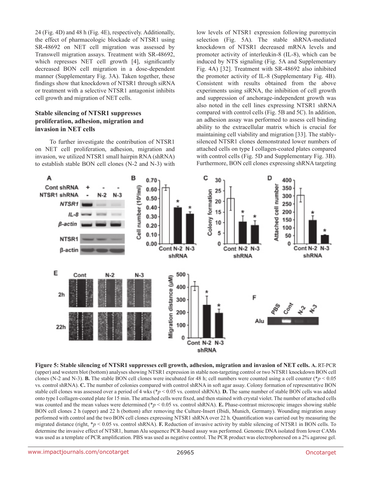24 (Fig. 4D) and 48 h (Fig. 4E), respectively. Additionally, the effect of pharmacologic blockade of NTSR1 using SR-48692 on NET cell migration was assessed by Transwell migration assays. Treatment with SR-48692, which represses NET cell growth [4], significantly decreased BON cell migration in a dose-dependent manner (Supplementary Fig. 3A). Taken together, these findings show that knockdown of NTSR1 through siRNA or treatment with a selective NTSR1 antagonist inhibits cell growth and migration of NET cells.

#### **Stable silencing of NTSR1 suppresses proliferation, adhesion, migration and invasion in NET cells**

To further investigate the contribution of NTSR1 on NET cell proliferation, adhesion, migration and invasion, we utilized NTSR1 small hairpin RNA (shRNA) to establish stable BON cell clones (N-2 and N-3) with low levels of NTSR1 expression following puromycin selection (Fig. 5A). The stable shRNA-mediated knockdown of NTSR1 decreased mRNA levels and promoter activity of interleukin-8 (IL-8), which can be induced by NTS signaling (Fig. 5A and Supplementary Fig. 4A) [32]. Treatment with SR-48692 also inhibited the promoter activity of IL-8 (Supplementary Fig. 4B). Consistent with results obtained from the above experiments using siRNA, the inhibition of cell growth and suppression of anchorage-independent growth was also noted in the cell lines expressing NTSR1 shRNA compared with control cells (Fig. 5B and 5C). In addition, an adhesion assay was performed to assess cell binding ability to the extracellular matrix which is crucial for maintaining cell viability and migration [33]. The stablysilenced NTSR1 clones demonstrated lower numbers of attached cells on type I collagen-coated plates compared with control cells (Fig. 5D and Supplementary Fig. 3B). Furthermore, BON cell clones expressing shRNA targeting



**Figure 5: Stable silencing of NTSR1 suppresses cell growth, adhesion, migration and invasion of NET cells. A.** RT-PCR (upper) and western blot (bottom) analyses showing NTSR1 expression in stable non-targeting control or two NTSR1 knockdown BON cell clones (N-2 and N-3). **B.** The stable BON cell clones were incubated for 48 h; cell numbers were counted using a cell counter ( $*p < 0.05$ ) vs. control shRNA). **C.** The number of colonies compared with control shRNA in soft agar assay. Colony formation of representative BON stable cell clones was assessed over a period of 4 wks (\**p* < 0.05 vs. control shRNA). **D.** The same number of stable BON cells was added onto type I collagen-coated plate for 15 min. The attached cells were fixed, and then stained with crystal violet. The number of attached cells was counted and the mean values were determined ( $p < 0.05$  vs. control shRNA). **E.** Phase-contrast microscopic images showing stable BON cell clones 2 h (upper) and 22 h (bottom) after removing the Culture-Insert (Ibidi, Munich, Germany). Wounding migration assay performed with control and the two BON cell clones expressing NTSR1 shRNA over 22 h. Quantification was carried out by measuring the migrated distance (right, \**p* < 0.05 vs. control shRNA). **F.** Reduction of invasive activity by stable silencing of NTSR1 in BON cells. To determine the invasive effect of NTSR1, human Alu sequence PCR-based assay was performed. Genomic DNA isolated from lower CAMs was used as a template of PCR amplification. PBS was used as negative control. The PCR product was electrophoresed on a 2% agarose gel.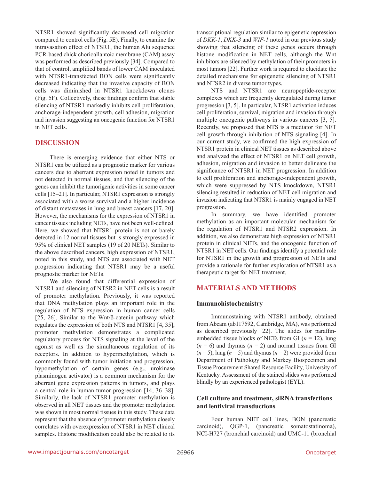NTSR1 showed significantly decreased cell migration compared to control cells (Fig. 5E). Finally, to examine the intravasation effect of NTSR1, the human Alu sequence PCR-based chick chorioallantoic membrane (CAM) assay was performed as described previously [34]. Compared to that of control, amplified bands of lower CAM inoculated with NTSR1-transfected BON cells were significantly decreased indicating that the invasive capacity of BON cells was diminished in NTSR1 knockdown clones (Fig. 5F). Collectively, these findings confirm that stable silencing of NTSR1 markedly inhibits cell proliferation, anchorage-independent growth, cell adhesion, migration and invasion suggesting an oncogenic function for NTSR1 in NET cells.

#### **DISCUSSION**

There is emerging evidence that either NTS or NTSR1 can be utilized as a prognostic marker for various cancers due to aberrant expression noted in tumors and not detected in normal tissues, and that silencing of the genes can inhibit the tumorigenic activities in some cancer cells [15–21]. In particular, NTSR1 expression is strongly associated with a worse survival and a higher incidence of distant metastases in lung and breast cancers [17, 20]. However, the mechanisms for the expression of NTSR1 in cancer tissues including NETs, have not been well-defined. Here, we showed that NTSR1 protein is not or barely detected in 12 normal tissues but is strongly expressed in 95% of clinical NET samples (19 of 20 NETs). Similar to the above described cancers, high expression of NTSR1, noted in this study, and NTS are associated with NET progression indicating that NTSR1 may be a useful prognostic marker for NETs.

We also found that differential expression of NTSR1 and silencing of NTSR2 in NET cells is a result of promoter methylation. Previously, it was reported that DNA methylation plays an important role in the regulation of NTS expression in human cancer cells [25, 26]. Similar to the Wnt/β-catenin pathway which regulates the expression of both NTS and NTSR1 [4, 35], promoter methylation demonstrates a complicated regulatory process for NTS signaling at the level of the agonist as well as the simultaneous regulation of its receptors. In addition to hypermethylation, which is commonly found with tumor initiation and progression, hypomethylation of certain genes (e.g., urokinase plasminogen activator) is a common mechanism for the aberrant gene expression patterns in tumors, and plays a central role in human tumor progression [14, 36–38]. Similarly, the lack of NTSR1 promoter methylation is observed in all NET tissues and the promoter methylation was shown in most normal tissues in this study. These data represent that the absence of promoter methylation closely correlates with overexpression of NTSR1 in NET clinical samples. Histone modification could also be related to its

transcriptional regulation similar to epigenetic repression of *DKK-1*, *DKK-3* and *WIF-1* noted in our previous study showing that silencing of these genes occurs through histone modification in NET cells, although the Wnt inhibitors are silenced by methylation of their promoters in most tumors [22]. Further work is required to elucidate the detailed mechanisms for epigenetic silencing of NTSR1 and NTSR2 in diverse tumor types.

NTS and NTSR1 are neuropeptide-receptor complexes which are frequently deregulated during tumor progression [3, 5]. In particular, NTSR1 activation induces cell proliferation, survival, migration and invasion through multiple oncogenic pathways in various cancers [3, 5]. Recently, we proposed that NTS is a mediator for NET cell growth through inhibition of NTS signaling [4]. In our current study, we confirmed the high expression of NTSR1 protein in clinical NET tissues as described above and analyzed the effect of NTSR1 on NET cell growth, adhesion, migration and invasion to better delineate the significance of NTSR1 in NET progression. In addition to cell proliferation and anchorage-independent growth, which were suppressed by NTS knockdown, NTSR1 silencing resulted in reduction of NET cell migration and invasion indicating that NTSR1 is mainly engaged in NET progression.

In summary, we have identified promoter methylation as an important molecular mechanism for the regulation of NTSR1 and NTSR2 expression. In addition, we also demonstrate high expression of NTSR1 protein in clinical NETs, and the oncogenic function of NTSR1 in NET cells. Our findings identify a potential role for NTSR1 in the growth and progression of NETs and provide a rationale for further exploration of NTSR1 as a therapeutic target for NET treatment.

# **MATERIALS AND METHODS**

#### **Immunohistochemistry**

Immunostaining with NTSR1 antibody, obtained from Abcam (ab117592, Cambridge, MA), was performed as described previously [22]. The slides for paraffinembedded tissue blocks of NETs from GI (*n* = 12), lung  $(n = 6)$  and thymus  $(n = 2)$  and normal tissues from GI  $(n=5)$ , lung  $(n=5)$  and thymus  $(n=2)$  were provided from Department of Pathology and Markey Biospecimen and Tissue Procurement Shared Resource Facility, University of Kentucky. Assessment of the stained slides was performed blindly by an experienced pathologist (EYL).

#### **Cell culture and treatment, siRNA transfections and lentiviral transductions**

Four human NET cell lines, BON (pancreatic carcinoid), QGP-1, (pancreatic somatostatinoma), NCI-H727 (bronchial carcinoid) and UMC-11 (bronchial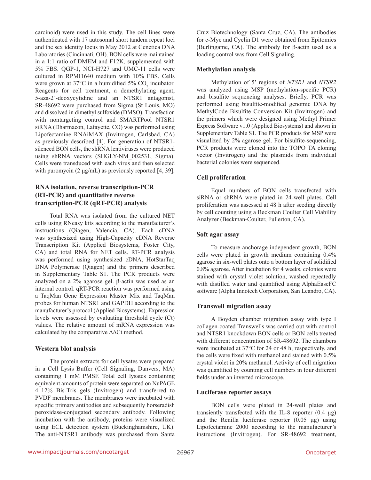carcinoid) were used in this study. The cell lines were authenticated with 17 autosomal short tandem repeat loci and the sex identity locus in May 2012 at Genetica DNA Laboratories (Cincinnati, OH). BON cells were maintained in a 1:1 ratio of DMEM and F12K, supplemented with 5% FBS. QGP-1, NCI-H727 and UMC-11 cells were cultured in RPMI1640 medium with 10% FBS. Cells were grown at  $37^{\circ}$ C in a humidified  $5\%$  CO<sub>2</sub> incubator. Reagents for cell treatment, a demethylating agent, 5-aza-2'-deoxycytidine and an NTSR1 antagonist, SR-48692 were purchased from Sigma (St Louis, MO) and dissolved in dimethyl sulfoxide (DMSO). Transfection with nontargeting control and SMARTPool NTSR1 siRNA (Dharmacon, Lafayette, CO) was performed using Lipofectamine RNAiMAX (Invitrogen, Carlsbad, CA) as previously described [4]. For generation of NTSR1 silenced BON cells, the shRNA lentiviruses were produced using shRNA vectors (SHGLY-NM\_002531, Sigma). Cells were transduced with each virus and then selected with puromycin (2 μg/mL) as previously reported [4, 39].

#### **RNA isolation, reverse transcription-PCR (RT-PCR) and quantitative reverse transcription-PCR (qRT-PCR) analysis**

Total RNA was isolated from the cultured NET cells using RNeasy kits according to the manufacturer's instructions (Qiagen, Valencia, CA). Each cDNA was synthesized using High-Capacity cDNA Reverse Transcription Kit (Applied Biosystems, Foster City, CA) and total RNA for NET cells. RT-PCR analysis was performed using synthesized cDNA, HotStarTaq DNA Polymerase (Qiagen) and the primers described in Supplementary Table S1. The PCR products were analyzed on a 2% agarose gel. β-actin was used as an internal control. qRT-PCR reaction was performed using a TaqMan Gene Expression Master Mix and TaqMan probes for human NTSR1 and GAPDH according to the manufacturer's protocol (Applied Biosystems). Expression levels were assessed by evaluating threshold cycle (Ct) values. The relative amount of mRNA expression was calculated by the comparative ∆∆Ct method.

# **Western blot analysis**

The protein extracts for cell lysates were prepared in a Cell Lysis Buffer (Cell Signaling, Danvers, MA) containing 1 mM PMSF. Total cell lysates containing equivalent amounts of protein were separated on NuPAGE 4–12% Bis-Tris gels (Invitrogen) and transferred to PVDF membranes. The membranes were incubated with specific primary antibodies and subsequently horseradish peroxidase-conjugated secondary antibody. Following incubation with the antibody, proteins were visualized using ECL detection system (Buckinghamshire, UK). The anti-NTSR1 antibody was purchased from Santa

Cruz Biotechnology (Santa Cruz, CA). The antibodies for c-Myc and Cyclin D1 were obtained from Epitomics (Burlingame, CA). The antibody for β-actin used as a loading control was from Cell Signaling.

#### **Methylation analysis**

Methylation of 5' regions of *NTSR1* and *NTSR2* was analyzed using MSP (methylation-specific PCR) and bisulfite sequencing analyses. Briefly, PCR was performed using bisulfite-modified genomic DNA by MethylCode Bisulfite Conversion Kit (Invitrogen) and the primers which were designed using Methyl Primer Express Software v1.0 (Applied Biosystems) and shown in Supplementary Table S1. The PCR products for MSP were visualized by 2% agarose gel. For bisulfite-sequencing, PCR products were cloned into the TOPO TA cloning vector (Invitrogen) and the plasmids from individual bacterial colonies were sequenced.

#### **Cell proliferation**

Equal numbers of BON cells transfected with siRNA or shRNA were plated in 24-well plates. Cell proliferation was assessed at 48 h after seeding directly by cell counting using a Beckman Coulter Cell Viability Analyzer (Beckman-Coulter, Fullerton, CA).

#### **Soft agar assay**

To measure anchorage-independent growth, BON cells were plated in growth medium containing 0.4% agarose in six-well plates onto a bottom layer of solidified 0.8% agarose. After incubation for 4 weeks, colonies were stained with crystal violet solution, washed repeatedly with distilled water and quantified using AlphaEaseFC software (Alpha Innotech Corporation, San Leandro, CA).

#### **Transwell migration assay**

A Boyden chamber migration assay with type I collagen-coated Transwells was carried out with control and NTSR1 knockdown BON cells or BON cells treated with different concentration of SR-48692. The chambers were incubated at 37°C for 24 or 48 h, respectively, and the cells were fixed with methanol and stained with 0.5% crystal violet in 20% methanol. Activity of cell migration was quantified by counting cell numbers in four different fields under an inverted microscope.

#### **Luciferase reporter assays**

BON cells were plated in 24-well plates and transiently transfected with the IL-8 reporter (0.4 μg) and the Renilla luciferase reporter (0.05 μg) using Lipofectamine 2000 according to the manufacturer's instructions (Invitrogen). For SR-48692 treatment,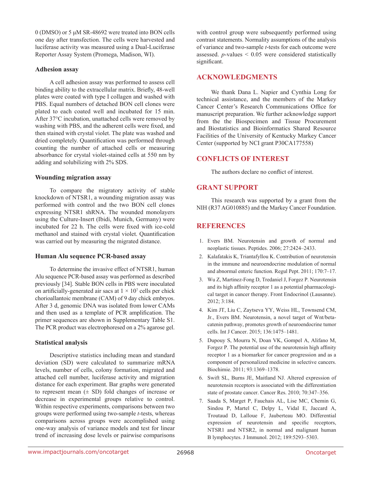0 (DMSO) or 5 μM SR-48692 were treated into BON cells one day after transfection. The cells were harvested and luciferase activity was measured using a Dual-Luciferase Reporter Assay System (Promega, Madison, WI).

#### **Adhesion assay**

A cell adhesion assay was performed to assess cell binding ability to the extracellular matrix. Briefly, 48-well plates were coated with type I collagen and washed with PBS. Equal numbers of detached BON cell clones were plated to each coated well and incubated for 15 min. After 37°C incubation, unattached cells were removed by washing with PBS, and the adherent cells were fixed, and then stained with crystal violet. The plate was washed and dried completely. Quantification was performed through counting the number of attached cells or measuring absorbance for crystal violet-stained cells at 550 nm by adding and solubilizing with 2% SDS.

#### **Wounding migration assay**

To compare the migratory activity of stable knockdown of NTSR1, a wounding migration assay was performed with control and the two BON cell clones expressing NTSR1 shRNA. The wounded monolayers using the Culture-Insert (Ibidi, Munich, Germany) were incubated for 22 h. The cells were fixed with ice-cold methanol and stained with crystal violet. Quantification was carried out by measuring the migrated distance.

#### **Human Alu sequence PCR-based assay**

To determine the invasive effect of NTSR1, human Alu sequence PCR-based assay was performed as described previously [34]. Stable BON cells in PBS were inoculated on artificially-generated air sacs at  $1 \times 10^7$  cells per chick chorioallantoic membrane (CAM) of 9 day chick embryos. After 3 d, genomic DNA was isolated from lower CAMs and then used as a template of PCR amplification. The primer sequences are shown in Supplementary Table S1. The PCR product was electrophoresed on a 2% agarose gel.

#### **Statistical analysis**

Descriptive statistics including mean and standard deviation (SD) were calculated to summarize mRNA levels, number of cells, colony formation, migrated and attached cell number, luciferase activity and migration distance for each experiment. Bar graphs were generated to represent mean  $(\pm SD)$  fold changes of increase or decrease in experimental groups relative to control. Within respective experiments, comparisons between two groups were performed using two-sample *t*-tests, whereas comparisons across groups were accomplished using one-way analysis of variance models and test for linear trend of increasing dose levels or pairwise comparisons

with control group were subsequently performed using contrast statements. Normality assumptions of the analysis of variance and two-sample *t*-tests for each outcome were assessed. *p*-values < 0.05 were considered statistically significant.

#### **ACKNOWLEDGMENTS**

We thank Dana L. Napier and Cynthia Long for technical assistance, and the members of the Markey Cancer Center's Research Communications Office for manuscript preparation. We further acknowledge support from the the Biospecimen and Tissue Procurement and Biostatistics and Bioinformatics Shared Resource Facilities of the University of Kentucky Markey Cancer Center (supported by NCI grant P30CA177558)

#### **CONFLICTS OF INTEREST**

The authors declare no conflict of interest.

#### **GRANT SUPPORT**

This research was supported by a grant from the NIH (R37 AG010885) and the Markey Cancer Foundation.

#### **REFERENCES**

- 1. Evers BM. Neurotensin and growth of normal and neoplastic tissues. Peptides. 2006; 27:2424–2433.
- 2. Kalafatakis K, Triantafyllou K. Contribution of neurotensin in the immune and neuroendocrine modulation of normal and abnormal enteric function. Regul Pept. 2011; 170:7–17.
- 3. Wu Z, Martinez-Fong D, Tredaniel J, Forgez P. Neurotensin and its high affinity receptor 1 as a potential pharmacological target in cancer therapy. Front Endocrinol (Lausanne). 2012; 3:184.
- 4. Kim JT, Liu C, Zaytseva YY, Weiss HL, Townsend CM, Jr., Evers BM. Neurotensin, a novel target of Wnt/betacatenin pathway, promotes growth of neuroendocrine tumor cells. Int J Cancer. 2015; 136:1475–1481.
- 5. Dupouy S, Mourra N, Doan VK, Gompel A, Alifano M, Forgez P. The potential use of the neurotensin high affinity receptor 1 as a biomarker for cancer progression and as a component of personalized medicine in selective cancers. Biochimie. 2011; 93:1369–1378.
- 6. Swift SL, Burns JE, Maitland NJ. Altered expression of neurotensin receptors is associated with the differentiation state of prostate cancer. Cancer Res. 2010; 70:347–356.
- 7. Saada S, Marget P, Fauchais AL, Lise MC, Chemin G, Sindou P, Martel C, Delpy L, Vidal E, Jaccard A, Troutaud D, Lalloue F, Jauberteau MO. Differential expression of neurotensin and specific receptors, NTSR1 and NTSR2, in normal and malignant human B lymphocytes. J Immunol. 2012; 189:5293–5303.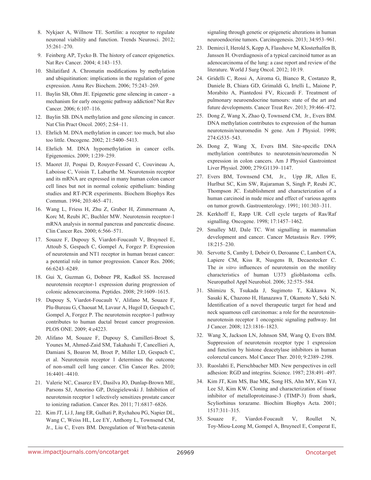- 8. Nykjaer A, Willnow TE. Sortilin: a receptor to regulate neuronal viability and function. Trends Neurosci. 2012; 35:261–270.
- 9. Feinberg AP, Tycko B. The history of cancer epigenetics. Nat Rev Cancer. 2004; 4:143–153.
- 10. Shilatifard A. Chromatin modifications by methylation and ubiquitination: implications in the regulation of gene expression. Annu Rev Biochem. 2006; 75:243–269.
- 11. Baylin SB, Ohm JE. Epigenetic gene silencing in cancer a mechanism for early oncogenic pathway addiction? Nat Rev Cancer. 2006; 6:107–116.
- 12. Baylin SB. DNA methylation and gene silencing in cancer. Nat Clin Pract Oncol. 2005; 2:S4–11.
- 13. Ehrlich M. DNA methylation in cancer: too much, but also too little. Oncogene. 2002; 21:5400–5413.
- 14. Ehrlich M. DNA hypomethylation in cancer cells. Epigenomics. 2009; 1:239–259.
- 15. Maoret JJ, Pospai D, Rouyer-Fessard C, Couvineau A, Laboisse C, Voisin T, Laburthe M. Neurotensin receptor and its mRNA are expressed in many human colon cancer cell lines but not in normal colonic epithelium: binding studies and RT-PCR experiments. Biochem Biophys Res Commun. 1994; 203:465–471.
- 16. Wang L, Friess H, Zhu Z, Graber H, Zimmermann A, Korc M, Reubi JC, Buchler MW. Neurotensin receptor-1 mRNA analysis in normal pancreas and pancreatic disease. Clin Cancer Res. 2000; 6:566–571.
- 17. Souaze F, Dupouy S, Viardot-Foucault V, Bruyneel E, Attoub S, Gespach C, Gompel A, Forgez P. Expression of neurotensin and NT1 receptor in human breast cancer: a potential role in tumor progression. Cancer Res. 2006; 66:6243–6249.
- 18. Gui X, Guzman G, Dobner PR, Kadkol SS. Increased neurotensin receptor-1 expression during progression of colonic adenocarcinoma. Peptides. 2008; 29:1609–1615.
- 19. Dupouy S, Viardot-Foucault V, Alifano M, Souaze F, Plu-Bureau G, Chaouat M, Lavaur A, Hugol D, Gespach C, Gompel A, Forgez P. The neurotensin receptor-1 pathway contributes to human ductal breast cancer progression. PLOS ONE. 2009; 4:e4223.
- 20. Alifano M, Souaze F, Dupouy S, Camilleri-Broet S, Younes M, Ahmed-Zaid SM, Takahashi T, Cancellieri A, Damiani S, Boaron M, Broet P, Miller LD, Gespach C, et al. Neurotensin receptor 1 determines the outcome of non-small cell lung cancer. Clin Cancer Res. 2010; 16:4401–4410.
- 21. Valerie NC, Casarez EV, Dasilva JO, Dunlap-Brown ME, Parsons SJ, Amorino GP, Dziegielewski J. Inhibition of neurotensin receptor 1 selectively sensitizes prostate cancer to ionizing radiation. Cancer Res. 2011; 71:6817–6826.
- 22. Kim JT, Li J, Jang ER, Gulhati P, Rychahou PG, Napier DL, Wang C, Weiss HL, Lee EY, Anthony L, Townsend CM, Jr., Liu C, Evers BM. Deregulation of Wnt/beta-catenin

signaling through genetic or epigenetic alterations in human neuroendocrine tumors. Carcinogenesis. 2013; 34:953–961.

- 23. Demirci I, Herold S, Kopp A, Flasshove M, Klosterhalfen B, Janssen H. Overdiagnosis of a typical carcinoid tumor as an adenocarcinoma of the lung: a case report and review of the literature. World J Surg Oncol. 2012; 10:19.
- 24. Gridelli C, Rossi A, Airoma G, Bianco R, Costanzo R, Daniele B, Chiara GD, Grimaldi G, Irtelli L, Maione P, Morabito A, Piantedosi FV, Riccardi F. Treatment of pulmonary neuroendocrine tumours: state of the art and future developments. Cancer Treat Rev. 2013; 39:466–472.
- 25. Dong Z, Wang X, Zhao Q, Townsend CM, Jr., Evers BM. DNA methylation contributes to expression of the human neurotensin/neuromedin N gene. Am J Physiol. 1998; 274:G535–543.
- 26. Dong Z, Wang X, Evers BM. Site-specific DNA methylation contributes to neurotensin/neuromedin N expression in colon cancers. Am J Physiol Gastrointest Liver Physiol. 2000; 279:G1139–1147.
- 27. Evers BM, Townsend CM, Jr., Upp JR, Allen E, Hurlbut SC, Kim SW, Rajaraman S, Singh P, Reubi JC, Thompson JC. Establishment and characterization of a human carcinoid in nude mice and effect of various agents on tumor growth. Gastroenterology. 1991; 101:303–311.
- 28. Kerkhoff E, Rapp UR. Cell cycle targets of Ras/Raf signalling. Oncogene. 1998; 17:1457–1462.
- 29. Smalley MJ, Dale TC. Wnt signalling in mammalian development and cancer. Cancer Metastasis Rev. 1999; 18:215–230.
- 30. Servotte S, Camby I, Debeir O, Deroanne C, Lambert CA, Lapiere CM, Kiss R, Nusgens B, Decaestecker C. The *in vitro* influences of neurotensin on the motility characteristics of human U373 glioblastoma cells. Neuropathol Appl Neurobiol. 2006; 32:575–584.
- 31. Shimizu S, Tsukada J, Sugimoto T, Kikkawa N, Sasaki K, Chazono H, Hanazawa T, Okamoto Y, Seki N. Identification of a novel therapeutic target for head and neck squamous cell carcinomas: a role for the neurotensinneurotensin receptor 1 oncogenic signaling pathway. Int J Cancer. 2008; 123:1816–1823.
- 32. Wang X, Jackson LN, Johnson SM, Wang Q, Evers BM. Suppression of neurotensin receptor type 1 expression and function by histone deacetylase inhibitors in human colorectal cancers. Mol Cancer Ther. 2010; 9:2389–2398.
- 33. Ruoslahti E, Pierschbacher MD. New perspectives in cell adhesion: RGD and integrins. Science. 1987; 238:491–497.
- 34. Kim JT, Kim MS, Bae MK, Song HS, Ahn MY, Kim YJ, Lee SJ, Kim KW. Cloning and characterization of tissue inhibitor of metalloproteinase-3 (TIMP-3) from shark, Scyliorhinus torazame. Biochim Biophys Acta. 2001; 1517:311–315.
- 35. Souaze F, Viardot-Foucault V, Roullet N, Toy-Miou-Leong M, Gompel A, Bruyneel E, Comperat E,